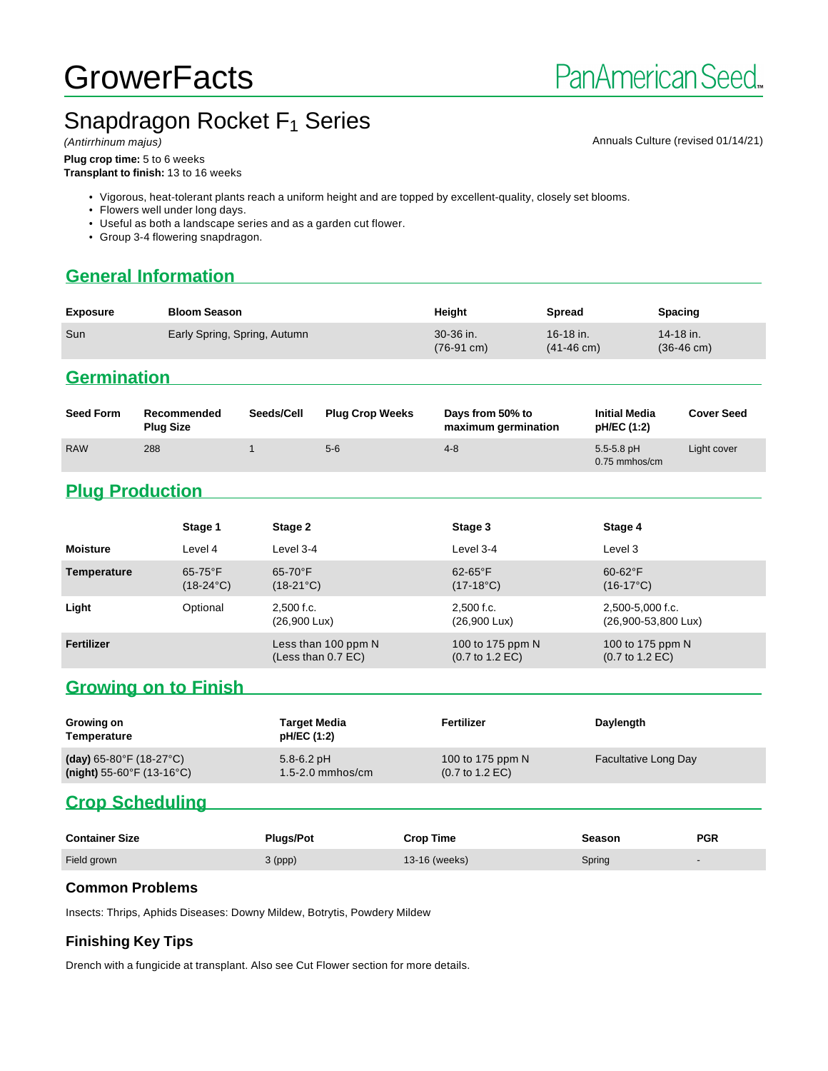# **GrowerFacts**

Annuals Culture (revised 01/14/21)

# Snapdragon Rocket  $F_1$  Series

**Plug crop time:** 5 to 6 weeks **Transplant to finish:** 13 to 16 weeks

• Vigorous, heat-tolerant plants reach a uniform height and are topped by excellent-quality, closely set blooms.

• Flowers well under long days.

• Useful as both a landscape series and as a garden cut flower.

• Group 3-4 flowering snapdragon.

#### **General Information**

| <b>Exposure</b> | <b>Bloom Season</b>          | Height                            | Spread                              | <b>Spacing</b>                    |
|-----------------|------------------------------|-----------------------------------|-------------------------------------|-----------------------------------|
| Sun             | Early Spring, Spring, Autumn | 30-36 in.<br>$(76-91 \text{ cm})$ | $16-18$ in.<br>$(41-46 \text{ cm})$ | 14-18 in.<br>$(36-46 \text{ cm})$ |

#### **Germination**

| <b>Seed Form</b> | Recommended<br><b>Plug Size</b> | Seeds/Cell | <b>Plug Crop Weeks</b> | Days from 50% to<br>maximum germination | <b>Initial Media</b><br>pH/EC (1:2) | <b>Cover Seed</b> |
|------------------|---------------------------------|------------|------------------------|-----------------------------------------|-------------------------------------|-------------------|
| <b>RAW</b>       | 288                             |            | $5-6$                  | $4 - 8$                                 | $5.5 - 5.8$ pH<br>0.75 mmhos/cm     | Light cover       |

### **Plug Production**

|                 | Stage 1                          | Stage 2                                     | Stage 3                                                | Stage 4                                                |
|-----------------|----------------------------------|---------------------------------------------|--------------------------------------------------------|--------------------------------------------------------|
| <b>Moisture</b> | Level 4                          | Level 3-4                                   | Level 3-4                                              | Level 3                                                |
| Temperature     | $65-75$ °F<br>$(18-24^{\circ}C)$ | $65 - 70$ °F<br>$(18-21^{\circ}C)$          | $62-65$ °F<br>$(17-18^{\circ}C)$                       | $60-62$ °F<br>$(16-17^{\circ}C)$                       |
| Light           | Optional                         | $2.500$ f.c.<br>$(26,900 \text{ Lux})$      | $2.500$ f.c.<br>$(26,900 \text{ Lux})$                 | 2,500-5,000 f.c.<br>$(26,900-53,800 \text{ Lux})$      |
| Fertilizer      |                                  | Less than 100 ppm N<br>(Less than $0.7$ EC) | 100 to 175 ppm N<br>$(0.7 \text{ to } 1.2 \text{ EC})$ | 100 to 175 ppm N<br>$(0.7 \text{ to } 1.2 \text{ EC})$ |

#### **Growing on to Finish**

| Growing on<br>Temperature                      | <b>Target Media</b><br>pH/EC (1:2) | Fertilizer                         | Daylength                   |
|------------------------------------------------|------------------------------------|------------------------------------|-----------------------------|
| (day) 65-80 $\degree$ F (18-27 $\degree$ C)    | $5.8 - 6.2$ pH                     | 100 to 175 ppm N                   | <b>Facultative Long Day</b> |
| (night) $55-60^{\circ}$ F (13-16 $^{\circ}$ C) | $1.5 - 2.0$ mmhos/cm               | $(0.7 \text{ to } 1.2 \text{ EC})$ |                             |

#### **Crop Scheduling**

| <b>Container Size</b> | <b>Plugs/Pot</b> | <b>Crop Time</b> | Season | <b>PGR</b> |
|-----------------------|------------------|------------------|--------|------------|
| Field grown           | 3 (ppp)          | 13-16 (weeks)    | Spring |            |

#### **Common Problems**

Insects: Thrips, Aphids Diseases: Downy Mildew, Botrytis, Powdery Mildew

#### **Finishing Key Tips**

Drench with a fungicide at transplant. Also see Cut Flower section for more details.